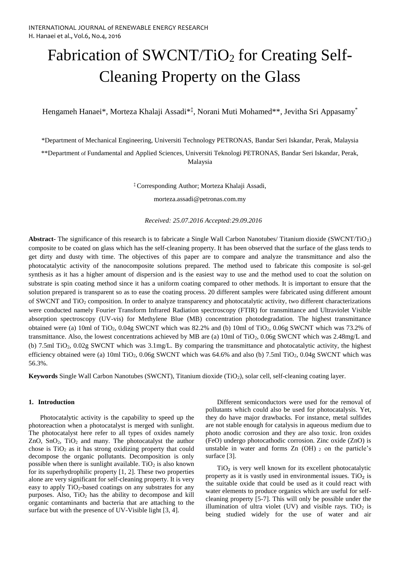# Fabrication of SWCNT/TiO<sub>2</sub> for Creating Self-Cleaning Property on the Glass

Hengameh Hanaei\*, Morteza Khalaji Assadi\*‡ , Norani Muti Mohamed\*\*, Jevitha Sri Appasamy\*

\*Department of Mechanical Engineering, Universiti Technology PETRONAS, Bandar Seri Iskandar, Perak, Malaysia \*\*Department of Fundamental and Applied Sciences, Universiti Teknologi PETRONAS, Bandar Seri Iskandar, Perak,

Malaysia

‡ Corresponding Author; Morteza Khalaji Assadi,

morteza.assadi@petronas.com.my

*Received: 25.07.2016 Accepted:29.09.2016*

**Abstract-** The significance of this research is to fabricate a Single Wall Carbon Nanotubes/ Titanium dioxide (SWCNT/TiO2) composite to be coated on glass which has the self-cleaning property. It has been observed that the surface of the glass tends to get dirty and dusty with time. The objectives of this paper are to compare and analyze the transmittance and also the photocatalytic activity of the nanocomposite solutions prepared. The method used to fabricate this composite is sol-gel synthesis as it has a higher amount of dispersion and is the easiest way to use and the method used to coat the solution on substrate is spin coating method since it has a uniform coating compared to other methods. It is important to ensure that the solution prepared is transparent so as to ease the coating process. 20 different samples were fabricated using different amount of SWCNT and TiO<sub>2</sub> composition. In order to analyze transparency and photocatalytic activity, two different characterizations were conducted namely Fourier Transform Infrared Radiation spectroscopy (FTIR) for transmittance and Ultraviolet Visible absorption spectroscopy (UV-vis) for Methylene Blue (MB) concentration photodegradation. The highest transmittance obtained were (a) 10ml of TiO<sub>2</sub>,  $0.04g$  SWCNT which was 82.2% and (b) 10ml of TiO<sub>2</sub>,  $0.06g$  SWCNT which was 73.2% of transmittance. Also, the lowest concentrations achieved by MB are (a) 10ml of TiO<sub>2</sub>, 0.06g SWCNT which was 2.48mg/L and (b) 7.5ml TiO2, 0.02g SWCNT which was 3.1mg/L. By comparing the transmittance and photocatalytic activity, the highest efficiency obtained were (a) 10ml TiO2, 0.06g SWCNT which was 64.6% and also (b) 7.5ml TiO2, 0.04g SWCNT which was 56.3%.

**Keywords** Single Wall Carbon Nanotubes (SWCNT), Titanium dioxide (TiO<sub>2</sub>), solar cell, self-cleaning coating layer.

#### **1. Introduction**

Photocatalytic activity is the capability to speed up the photoreaction when a photocatalyst is merged with sunlight. The photocatalyst here refer to all types of oxides namely ZnO, SnO2, TiO<sup>2</sup> and many. The photocatalyst the author chose is  $TiO<sub>2</sub>$  as it has strong oxidizing property that could decompose the organic pollutants. Decomposition is only possible when there is sunlight available. Ti $O_2$  is also known for its superhydrophilic property [\[1,](#page-5-0) [2\]](#page-5-1). These two properties alone are very significant for self-cleaning property. It is very easy to apply TiO<sub>2</sub>-based coatings on any substrates for any purposes. Also,  $TiO<sub>2</sub>$  has the ability to decompose and kill organic contaminants and bacteria that are attaching to the surface but with the presence of UV-Visible light [\[3,](#page-5-2) [4\]](#page-6-0).

Different semiconductors were used for the removal of pollutants which could also be used for photocatalysis. Yet, they do have major drawbacks. For instance, metal sulfides are not stable enough for catalysis in aqueous medium due to photo anodic corrosion and they are also toxic. Iron oxides (FeO) undergo photocathodic corrosion. Zinc oxide (ZnO) is unstable in water and forms  $Zn$  (OH)  $_2$  on the particle's surface [\[3\]](#page-5-2).

 $TiO<sub>2</sub>$  is very well known for its excellent photocatalytic property as it is vastly used in environmental issues.  $TiO<sub>2</sub>$  is the suitable oxide that could be used as it could react with water elements to produce organics which are useful for selfcleaning property [\[5-7\]](#page-6-1). This will only be possible under the illumination of ultra violet (UV) and visible rays.  $TiO<sub>2</sub>$  is being studied widely for the use of water and air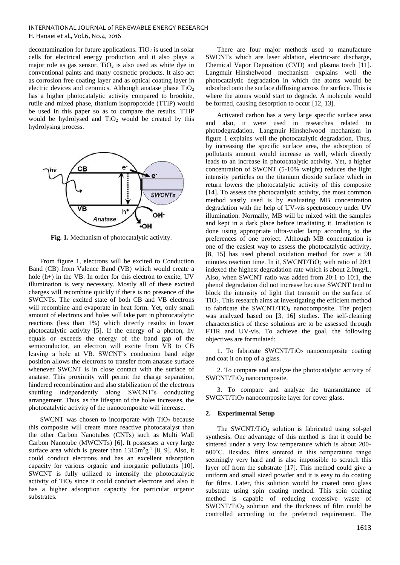decontamination for future applications.  $TiO<sub>2</sub>$  is used in solar cells for electrical energy production and it also plays a major role as gas sensor. TiO<sub>2</sub> is also used as white dye in conventional paints and many cosmetic products. It also act as corrosion free coating layer and as optical coating layer in electric devices and ceramics. Although anatase phase  $TiO<sub>2</sub>$ has a higher photocatalytic activity compared to brookite, rutile and mixed phase, titanium isopropoxide (TTIP) would be used in this paper so as to compare the results. TTIP would be hydrolysed and TiO<sub>2</sub> would be created by this hydrolysing process.



**Fig. 1.** Mechanism of photocatalytic activity.

From figure 1, electrons will be excited to Conduction Band (CB) from Valence Band (VB) which would create a hole (h+) in the VB. In order for this electron to excite, UV illumination is very necessary. Mostly all of these excited charges will recombine quickly if there is no presence of the SWCNTs. The excited state of both CB and VB electrons will recombine and evaporate in heat form. Yet, only small amount of electrons and holes will take part in photocatalytic reactions (less than 1%) which directly results in lower photocatalytic activity [\[5\]](#page-6-1). If the energy of a photon, hv equals or exceeds the energy of the band gap of the semiconductor, an electron will excite from VB to CB leaving a hole at VB. SWCNT's conduction band edge position allows the electrons to transfer from anatase surface whenever SWCNT is in close contact with the surface of anatase. This proximity will permit the charge separation, hindered recombination and also stabilization of the electrons shuttling independently along SWCNT's conducting arrangement. Thus, as the lifespan of the holes increases, the photocatalytic activity of the nanocomposite will increase.

SWCNT was chosen to incorporate with  $TiO<sub>2</sub>$  because this composite will create more reactive photocatalyst than the other Carbon Nanotubes (CNTs) such as Multi Wall Carbon Nanotube (MWCNTs) [\[6\]](#page-6-2). It possesses a very large surface area which is greater than  $1315 \text{m}^2 \text{g}^{-1}$  [\[8,](#page-6-3) [9\]](#page-6-4). Also, it could conduct electrons and has an excellent adsorption capacity for various organic and inorganic pollutants [\[10\]](#page-6-5). SWCNT is fully utilized to intensify the photocatalytic activity of  $TiO<sub>2</sub>$  since it could conduct electrons and also it has a higher adsorption capacity for particular organic substrates.

There are four major methods used to manufacture SWCNTs which are laser ablation, electric-arc discharge, Chemical Vapor Deposition (CVD) and plasma torch [\[11\]](#page-6-6). Langmuir–Hinshelwood mechanism explains well the photocatalytic degradation in which the atoms would be adsorbed onto the surface diffusing across the surface. This is where the atoms would start to degrade. A molecule would be formed, causing desorption to occur [\[12,](#page-6-7) [13\]](#page-6-8).

Activated carbon has a very large specific surface area and also, it were used in researches related to photodegradation. Langmuir–Hinshelwood mechanism in figure 1 explains well the photocatalytic degradation. Thus, by increasing the specific surface area, the adsorption of pollutants amount would increase as well, which directly leads to an increase in photocatalytic activity. Yet, a higher concentration of SWCNT (5-10% weight) reduces the light intensity particles on the titanium dioxide surface which in return lowers the photocatalytic activity of this composite [\[14\]](#page-6-9). To assess the photocatalytic activity, the most common method vastly used is by evaluating MB concentration degradation with the help of UV-vis spectroscopy under UV illumination. Normally, MB will be mixed with the samples and kept in a dark place before irradiating it. Irradiation is done using appropriate ultra-violet lamp according to the preferences of one project. Although MB concentration is one of the easiest way to assess the photocatalytic activity, [\[8,](#page-6-3) [15\]](#page-6-10) has used phenol oxidation method for over a 90 minutes reaction time. In it, SWCNT/TiO<sub>2</sub> with ratio of  $20:1$ indexed the highest degradation rate which is about 2.0mg/L. Also, when SWCNT ratio was added from 20:1 to 10:1, the phenol degradation did not increase because SWCNT tend to block the intensity of light that transmit on the surface of TiO2. This research aims at investigating the efficient method to fabricate the SWCNT/TiO<sub>2</sub> nanocomposite. The project was analyzed based on [\[3,](#page-5-2) [16\]](#page-6-11) studies. The self-cleaning characteristics of these solutions are to be assessed through FTIR and UV-vis. To achieve the goal, the following objectives are formulated:

1. To fabricate SWCNT/TiO<sub>2</sub> nanocomposite coating and coat it on top of a glass.

2. To compare and analyze the photocatalytic activity of SWCNT/TiO<sub>2</sub> nanocomposite.

3. To compare and analyze the transmittance of SWCNT/TiO<sup>2</sup> nanocomposite layer for cover glass.

#### **2. Experimental Setup**

The SWCNT/TiO<sub>2</sub> solution is fabricated using sol-gel synthesis. One advantage of this method is that it could be sintered under a very low temperature which is about 200- 600˚C. Besides, films sintered in this temperature range seemingly very hard and is also impossible to scratch this layer off from the substrate [\[17\]](#page-6-12). This method could give a uniform and small sized powder and it is easy to do coating for films. Later, this solution would be coated onto glass substrate using spin coating method. This spin coating method is capable of reducing excessive waste of SWCNT/TiO<sup>2</sup> solution and the thickness of film could be controlled according to the preferred requirement. The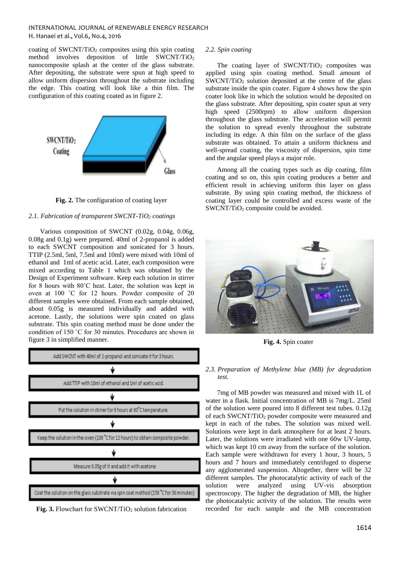coating of  $SWCNT/TiO<sub>2</sub>$  composites using this spin coating method involves deposition of little SWCNT/TiO<sub>2</sub> nanocomposite splash at the center of the glass substrate. After depositing, the substrate were spun at high speed to allow uniform dispersion throughout the substrate including the edge. This coating will look like a thin film. The configuration of this coating coated as in figure 2.



**Fig. 2.** The configuration of coating layer

# *2.1. Fabrication of transparent SWCNT-TiO<sup>2</sup> coatings*

Various composition of SWCNT (0.02g, 0.04g, 0.06g, 0.08g and 0.1g) were prepared. 40ml of 2-propanol is added to each SWCNT composition and sonicated for 3 hours. TTIP (2.5ml, 5ml, 7.5ml and 10ml) were mixed with 10ml of ethanol and 1ml of acetic acid. Later, each composition were mixed according to Table 1 which was obtained by the Design of Experiment software. Keep each solution in stirrer for 8 hours with 80˚C heat. Later, the solution was kept in oven at 100 ˚C for 12 hours. Powder composite of 20 different samples were obtained. From each sample obtained, about 0.05g is measured individually and added with acetone. Lastly, the solutions were spin coated on glass substrate. This spin coating method must be done under the condition of 150 ˚C for 30 minutes. Procedures are shown in figure 3 in simplified manner.



Fig. 3. Flowchart for SWCNT/TiO<sub>2</sub> solution fabrication

# *2.2. Spin coating*

The coating layer of  $SWCNT/TiO<sub>2</sub>$  composites was applied using spin coating method. Small amount of  $SWCNT/TiO<sub>2</sub>$  solution deposited at the centre of the glass substrate inside the spin coater. Figure 4 shows how the spin coater look like in which the solution would be deposited on the glass substrate. After depositing, spin coater spun at very high speed (2500rpm) to allow uniform dispersion throughout the glass substrate. The acceleration will permit the solution to spread evenly throughout the substrate including its edge. A thin film on the surface of the glass substrate was obtained. To attain a uniform thickness and well-spread coating, the viscosity of dispersion, spin time and the angular speed plays a major role.

Among all the coating types such as dip coating, film coating and so on, this spin coating produces a better and efficient result in achieving uniform thin layer on glass substrate. By using spin coating method, the thickness of coating layer could be controlled and excess waste of the SWCNT/TiO<sub>2</sub> composite could be avoided.



**Fig. 4.** Spin coater

# *2.3. Preparation of Methylene blue (MB) for degradation test.*

7mg of MB powder was measured and mixed with 1L of water in a flask. Initial concentration of MB is 7mg/L. 25ml of the solution were poured into 8 different test tubes. 0.12g of each SWCNT/TiO<sub>2</sub> powder composite were measured and kept in each of the tubes. The solution was mixed well. Solutions were kept in dark atmosphere for at least 2 hours. Later, the solutions were irradiated with one 60w UV-lamp. which was kept 10 cm away from the surface of the solution. Each sample were withdrawn for every 1 hour, 3 hours, 5 hours and 7 hours and immediately centrifuged to disperse any agglomerated suspension. Altogether, there will be 32 different samples. The photocatalytic activity of each of the solution were analyzed using UV-vis absorption spectroscopy. The higher the degradation of MB, the higher the photocatalytic activity of the solution. The results were recorded for each sample and the MB concentration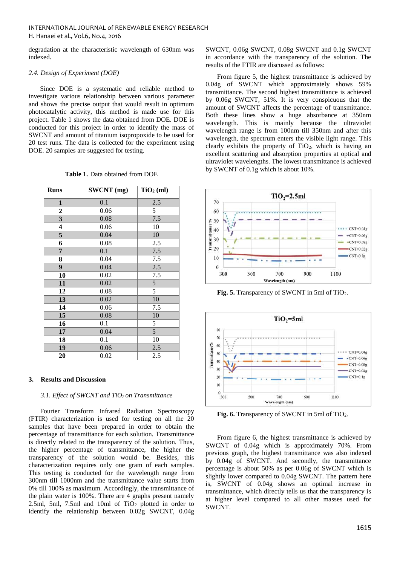degradation at the characteristic wavelength of 630nm was indexed.

#### *2.4. Design of Experiment (DOE)*

Since DOE is a systematic and reliable method to investigate various relationship between various parameter and shows the precise output that would result in optimum photocatalytic activity, this method is made use for this project. Table 1 shows the data obtained from DOE. DOE is conducted for this project in order to identify the mass of SWCNT and amount of titanium isopropoxide to be used for 20 test runs. The data is collected for the experiment using DOE. 20 samples are suggested for testing.

| <b>Runs</b>             | <b>SWCNT</b> (mg) | $TiO2$ (ml) |
|-------------------------|-------------------|-------------|
| 1                       | 0.1               | 2.5         |
| $\overline{\mathbf{c}}$ | 0.06              | 5           |
| 3                       | 0.08              | 7.5         |
| $\overline{\mathbf{4}}$ | 0.06              | 10          |
| 5                       | 0.04              | 10          |
| 6                       | 0.08              | 2.5         |
| 7                       | 0.1               | 7.5         |
| 8                       | 0.04              | $7.5\,$     |
| 9                       | 0.04              | 2.5         |
| 10                      | 0.02              | 7.5         |
| 11                      | 0.02              | 5           |
| 12                      | 0.08              | 5           |
| 13                      | 0.02              | 10          |
| 14                      | 0.06              | 7.5         |
| 15                      | 0.08              | 10          |
| 16                      | 0.1               | 5           |
| 17                      | 0.04              | 5           |
| 18                      | 0.1               | 10          |
| 19                      | 0.06              | 2.5         |
| 20                      | 0.02              | 2.5         |

**Table 1.** Data obtained from DOE

#### **3. Results and Discussion**

#### *3.1. Effect of SWCNT and TiO2 on Transmittance*

Fourier Transform Infrared Radiation Spectroscopy (FTIR) characterization is used for testing on all the 20 samples that have been prepared in order to obtain the percentage of transmittance for each solution. Transmittance is directly related to the transparency of the solution. Thus, the higher percentage of transmittance, the higher the transparency of the solution would be. Besides, this characterization requires only one gram of each samples. This testing is conducted for the wavelength range from 300nm till 1000nm and the transmittance value starts from 0% till 100% as maximum. Accordingly, the transmittance of the plain water is 100%. There are 4 graphs present namely 2.5ml, 5ml, 7.5ml and 10ml of  $TiO<sub>2</sub>$  plotted in order to identify the relationship between 0.02g SWCNT, 0.04g

SWCNT, 0.06g SWCNT, 0.08g SWCNT and 0.1g SWCNT in accordance with the transparency of the solution. The results of the FTIR are discussed as follows:

From figure 5, the highest transmittance is achieved by 0.04g of SWCNT which approximately shows 59% transmittance. The second highest transmittance is achieved by 0.06g SWCNT, 51%. It is very conspicuous that the amount of SWCNT affects the percentage of transmittance. Both these lines show a huge absorbance at 350nm wavelength. This is mainly because the ultraviolet wavelength range is from 100nm till 350nm and after this wavelength, the spectrum enters the visible light range. This clearly exhibits the property of TiO2, which is having an excellent scattering and absorption properties at optical and ultraviolet wavelengths. The lowest transmittance is achieved by SWCNT of 0.1g which is about 10%.



Fig. 5. Transparency of SWCNT in 5ml of TiO<sub>2</sub>.



Fig. 6. Transparency of SWCNT in 5ml of TiO<sub>2</sub>.

From figure 6, the highest transmittance is achieved by SWCNT of 0.04g which is approximately 70%. From previous graph, the highest transmittance was also indexed by 0.04g of SWCNT. And secondly, the transmittance percentage is about 50% as per 0.06g of SWCNT which is slightly lower compared to 0.04g SWCNT. The pattern here is, SWCNT of 0.04g shows an optimal increase in transmittance, which directly tells us that the transparency is at higher level compared to all other masses used for SWCNT.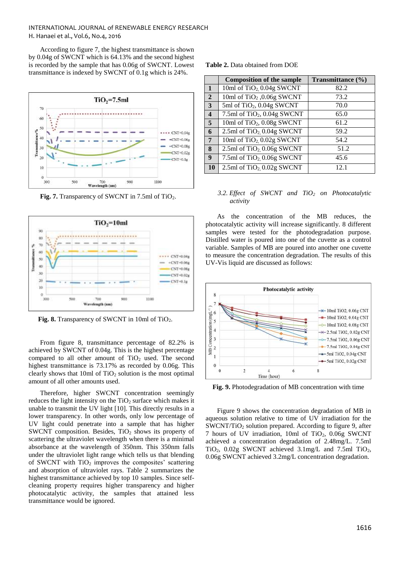According to figure 7, the highest transmittance is shown by 0.04g of SWCNT which is 64.13% and the second highest is recorded by the sample that has 0.06g of SWCNT. Lowest transmittance is indexed by SWCNT of 0.1g which is 24%.



Fig. 7. Transparency of SWCNT in 7.5ml of TiO<sub>2</sub>.



Fig. 8. Transparency of SWCNT in 10ml of TiO<sub>2</sub>.

From figure 8, transmittance percentage of 82.2% is achieved by SWCNT of 0.04g. This is the highest percentage compared to all other amount of  $TiO<sub>2</sub>$  used. The second highest transmittance is 73.17% as recorded by 0.06g. This clearly shows that 10ml of  $TiO<sub>2</sub>$  solution is the most optimal amount of all other amounts used.

Therefore, higher SWCNT concentration seemingly reduces the light intensity on the  $TiO<sub>2</sub>$  surface which makes it unable to transmit the UV light [\[10\]](#page-6-5). This directly results in a lower transparency. In other words, only low percentage of UV light could penetrate into a sample that has higher SWCNT composition. Besides,  $TiO<sub>2</sub>$  shows its property of scattering the ultraviolet wavelength when there is a minimal absorbance at the wavelength of 350nm. This 350nm falls under the ultraviolet light range which tells us that blending of SWCNT with  $TiO<sub>2</sub>$  improves the composites' scattering and absorption of ultraviolet rays. Table 2 summarizes the highest transmittance achieved by top 10 samples. Since selfcleaning property requires higher transparency and higher photocatalytic activity, the samples that attained less transmittance would be ignored.

|  |  | <b>Table 2.</b> Data obtained from DOE |  |  |
|--|--|----------------------------------------|--|--|
|--|--|----------------------------------------|--|--|

|                                      | <b>Composition of the sample</b>            | Transmittance $(\% )$ |
|--------------------------------------|---------------------------------------------|-----------------------|
| $\mathbf{1}$                         | 10ml of TiO <sub>2</sub> 0.04g SWCNT        | 82.2                  |
| $\overline{2}$                       | 10ml of TiO <sub>2</sub> ,0.06g SWCNT       | 73.2                  |
| $\overline{\mathbf{3}}$              | 5ml of $TiO2$ , 0.04g SWCNT                 | 70.0                  |
| $\overline{4}$                       | 7.5ml of TiO <sub>2</sub> , 0.04g SWCNT     | 65.0                  |
| $\overline{\overline{\overline{5}}}$ | 10ml of TiO <sub>2</sub> , 0.08g SWCNT      | 61.2                  |
| 6                                    | 2.5ml of $TiO2$ , 0.04g SWCNT               | 59.2                  |
| $\overline{7}$                       | 10ml of TiO <sub>2</sub> , 0.02g SWCNT      | 54.2                  |
| 8                                    | 2.5ml of $TiO2$ , 0.06g SWCNT               | 51.2                  |
| $\boldsymbol{9}$                     | 7.5ml of TiO <sub>2</sub> , 0.06g SWCNT     | 45.6                  |
| <b>10</b>                            | $2.5ml$ of TiO <sub>2</sub> , $0.02g$ SWCNT | 12.1                  |

#### *3.2. Effect of SWCNT and TiO<sup>2</sup> on Photocatalytic activity*

As the concentration of the MB reduces, the photocatalytic activity will increase significantly. 8 different samples were tested for the photodegradation purpose. Distilled water is poured into one of the cuvette as a control variable. Samples of MB are poured into another one cuvette to measure the concentration degradation. The results of this UV-Vis liquid are discussed as follows:



**Fig. 9.** Photodegradation of MB concentration with time

Figure 9 shows the concentration degradation of MB in aqueous solution relative to time of UV irradiation for the SWCNT/TiO<sup>2</sup> solution prepared. According to figure 9, after 7 hours of UV irradiation, 10ml of TiO2, 0.06g SWCNT achieved a concentration degradation of 2.48mg/L. 7.5ml TiO<sub>2</sub>,  $0.02g$  SWCNT achieved  $3.1mg/L$  and  $7.5ml$  TiO<sub>2</sub>, 0.06g SWCNT achieved 3.2mg/L concentration degradation.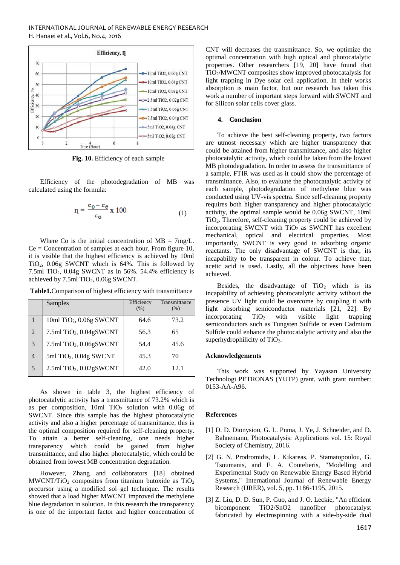

 **Fig. 10.** Efficiency of each sample

Efficiency of the photodegradation of MB was calculated using the formula:

$$
r_{\rm L} = \frac{c_{\rm o} - c_{\rm e}}{c_{\rm o}} \ge 100\tag{1}
$$

Where Co is the initial concentration of  $MB = 7mg/L$ .  $Ce =$  Concentration of samples at each hour. From figure 10, it is visible that the highest efficiency is achieved by 10ml TiO2, 0.06g SWCNT which is 64%. This is followed by 7.5ml TiO2, 0.04g SWCNT as in 56%. 54.4% efficiency is achieved by 7.5ml TiO<sub>2</sub>, 0.06g SWCNT.

|               | Samples                                   | Efficiency<br>(% ) | Transmittance<br>(% ) |
|---------------|-------------------------------------------|--------------------|-----------------------|
|               | 10ml TiO <sub>2</sub> , 0.06g SWCNT       | 64.6               | 73.2                  |
| $\mathcal{L}$ | $7.5$ ml TiO <sub>2</sub> , $0.04$ gSWCNT | 56.3               | 65                    |
| $\mathcal{R}$ | $7.5$ ml TiO <sub>2</sub> , $0.06$ gSWCNT | 54.4               | 45.6                  |
|               | $5ml TiO2$ , 0.04g SWCNT                  | 45.3               | 70                    |
| 5             | 2.5ml TiO <sub>2</sub> , 0.02gSWCNT       | 42.0               | 12.1                  |

**Table1.**Comparison of highest efficiency with transmittance

As shown in table 3, the highest efficiency of photocatalytic activity has a transmittance of 73.2% which is as per composition,  $10$ ml TiO<sub>2</sub> solution with  $0.06g$  of SWCNT. Since this sample has the highest photocatalytic activity and also a higher percentage of transmittance, this is the optimal composition required for self-cleaning property. To attain a better self-cleaning, one needs higher transparency which could be gained from higher transmittance, and also higher photocatalytic, which could be obtained from lowest MB concentration degradation.

However, Zhang and collaborators [\[18\]](#page-6-13) obtained  $MWCNT/TiO<sub>2</sub>$  composites from titanium butoxide as  $TiO<sub>2</sub>$ precursor using a modified sol–gel technique. The results showed that a load higher MWCNT improved the methylene blue degradation in solution. In this research the transparency is one of the important factor and higher concentration of CNT will decreases the transmittance. So, we optimize the optimal concentration with high optical and photocatalytic properties. Other researchers [\[19,](#page-6-14) [20\]](#page-6-15) have found that TiO2/MWCNT composites show improved photocatalysis for light trapping in Dye solar cell application. In their works absorption is main factor, but our research has taken this work a number of important steps forward with SWCNT and for Silicon solar cells cover glass.

#### **4. Conclusion**

To achieve the best self-cleaning property, two factors are utmost necessary which are higher transparency that could be attained from higher transmittance, and also higher photocatalytic activity, which could be taken from the lowest MB photodegradation. In order to assess the transmittance of a sample, FTIR was used as it could show the percentage of transmittance. Also, to evaluate the photocatalytic activity of each sample, photodegradation of methylene blue was conducted using UV-vis spectra. Since self-cleaning property requires both higher transparency and higher photocatalytic activity, the optimal sample would be 0.06g SWCNT, 10ml TiO2. Therefore, self-cleaning property could be achieved by incorporating SWCNT with  $TiO<sub>2</sub>$  as SWCNT has excellent mechanical, optical and electrical properties. Most importantly, SWCNT is very good in adsorbing organic reactants. The only disadvantage of SWCNT is that, its incapability to be transparent in colour. To achieve that, acetic acid is used. Lastly, all the objectives have been achieved.

Besides, the disadvantage of  $TiO<sub>2</sub>$  which is its incapability of achieving photocatalytic activity without the presence UV light could be overcome by coupling it with light absorbing semiconductor materials [\[21,](#page-6-16) [22\]](#page-6-17). By incorporating  $TiO<sub>2</sub>$  with visible light trapping semiconductors such as Tungsten Sulfide or even Cadmium Sulfide could enhance the photocatalytic activity and also the superhydrophilicity of TiO<sub>2</sub>.

#### **Acknowledgements**

This work was supported by Yayasan University Technologi PETRONAS (YUTP) grant, with grant number: 0153-AA-A96.

# **References**

- <span id="page-5-0"></span>[1] D. D. Dionysiou, G. L. Puma, J. Ye, J. Schneider, and D. Bahnemann, Photocatalysis: Applications vol. 15: Royal Society of Chemistry, 2016.
- <span id="page-5-1"></span>[2] G. N. Prodromidis, L. Kikareas, P. Stamatopoulou, G. Tsoumanis, and F. A. Coutelieris, "Modelling and Experimental Study on Renewable Energy Based Hybrid Systems," International Journal of Renewable Energy Research (IJRER), vol. 5, pp. 1186-1195, 2015.
- <span id="page-5-2"></span>[3] Z. Liu, D. D. Sun, P. Guo, and J. O. Leckie, "An efficient bicomponent TiO2/SnO2 nanofiber photocatalyst fabricated by electrospinning with a side-by-side dual